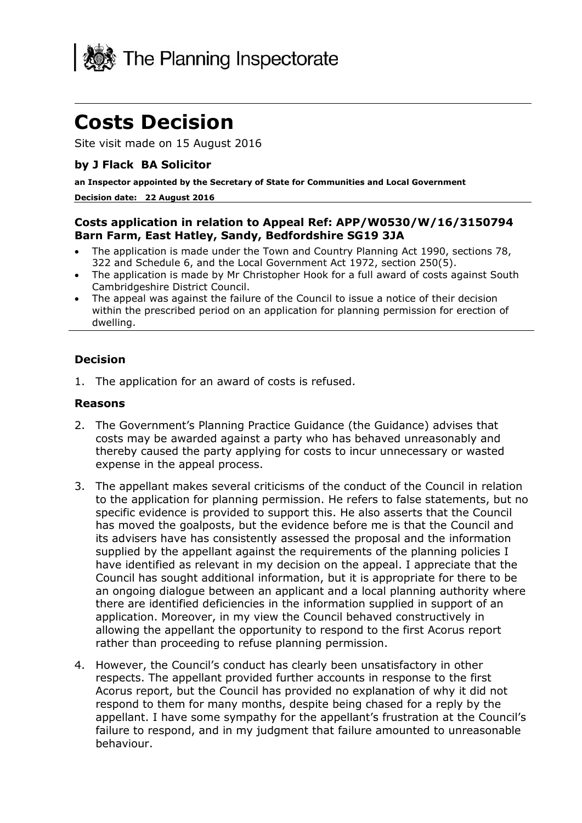

# **Costs Decision**

Site visit made on 15 August 2016

## **by J Flack BA Solicitor**

**an Inspector appointed by the Secretary of State for Communities and Local Government**

#### **Decision date: 22 August 2016**

### **Costs application in relation to Appeal Ref: APP/W0530/W/16/3150794 Barn Farm, East Hatley, Sandy, Bedfordshire SG19 3JA**

- The application is made under the Town and Country Planning Act 1990, sections 78, 322 and Schedule 6, and the Local Government Act 1972, section 250(5).
- The application is made by Mr Christopher Hook for a full award of costs against South Cambridgeshire District Council.
- The appeal was against the failure of the Council to issue a notice of their decision within the prescribed period on an application for planning permission for erection of dwelling.

### **Decision**

1. The application for an award of costs is refused.

#### **Reasons**

- 2. The Government's Planning Practice Guidance (the Guidance) advises that costs may be awarded against a party who has behaved unreasonably and thereby caused the party applying for costs to incur unnecessary or wasted expense in the appeal process.
- 3. The appellant makes several criticisms of the conduct of the Council in relation to the application for planning permission. He refers to false statements, but no specific evidence is provided to support this. He also asserts that the Council has moved the goalposts, but the evidence before me is that the Council and its advisers have has consistently assessed the proposal and the information supplied by the appellant against the requirements of the planning policies I have identified as relevant in my decision on the appeal. I appreciate that the Council has sought additional information, but it is appropriate for there to be an ongoing dialogue between an applicant and a local planning authority where there are identified deficiencies in the information supplied in support of an application. Moreover, in my view the Council behaved constructively in allowing the appellant the opportunity to respond to the first Acorus report rather than proceeding to refuse planning permission.
- 4. However, the Council's conduct has clearly been unsatisfactory in other respects. The appellant provided further accounts in response to the first Acorus report, but the Council has provided no explanation of why it did not respond to them for many months, despite being chased for a reply by the appellant. I have some sympathy for the appellant's frustration at the Council's failure to respond, and in my judgment that failure amounted to unreasonable behaviour.